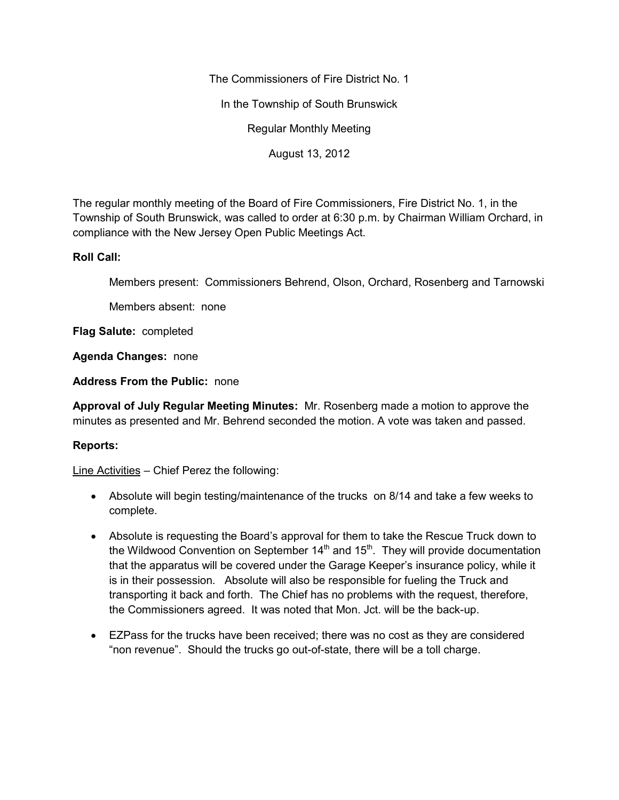The Commissioners of Fire District No. 1

In the Township of South Brunswick

Regular Monthly Meeting

August 13, 2012

The regular monthly meeting of the Board of Fire Commissioners, Fire District No. 1, in the Township of South Brunswick, was called to order at 6:30 p.m. by Chairman William Orchard, in compliance with the New Jersey Open Public Meetings Act.

## **Roll Call:**

Members present: Commissioners Behrend, Olson, Orchard, Rosenberg and Tarnowski

Members absent: none

**Flag Salute:** completed

**Agenda Changes:** none

**Address From the Public:** none

**Approval of July Regular Meeting Minutes:** Mr. Rosenberg made a motion to approve the minutes as presented and Mr. Behrend seconded the motion. A vote was taken and passed.

## **Reports:**

Line Activities – Chief Perez the following:

- Absolute will begin testing/maintenance of the trucks on 8/14 and take a few weeks to complete.
- Absolute is requesting the Board's approval for them to take the Rescue Truck down to the Wildwood Convention on September  $14<sup>th</sup>$  and  $15<sup>th</sup>$ . They will provide documentation that the apparatus will be covered under the Garage Keeper's insurance policy, while it is in their possession. Absolute will also be responsible for fueling the Truck and transporting it back and forth. The Chief has no problems with the request, therefore, the Commissioners agreed. It was noted that Mon. Jct. will be the back-up.
- EZPass for the trucks have been received; there was no cost as they are considered "non revenue". Should the trucks go out-of-state, there will be a toll charge.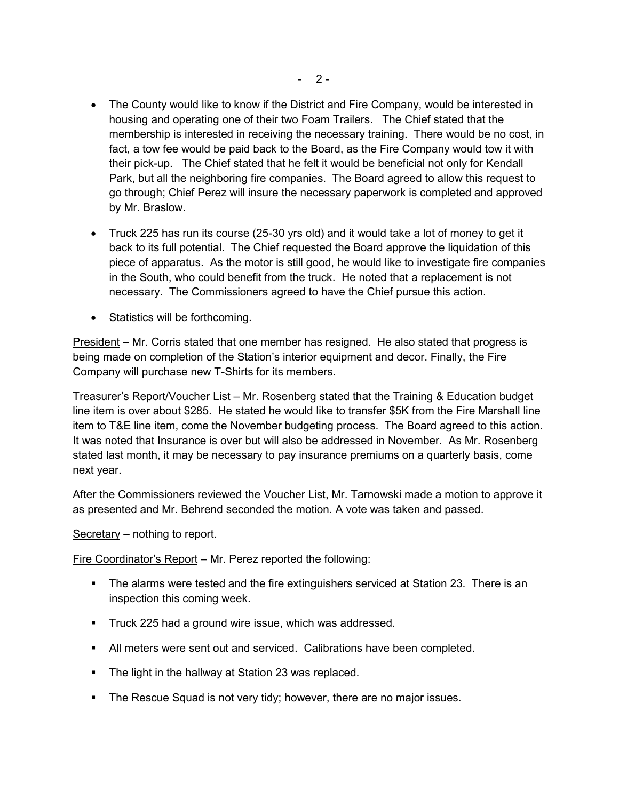- The County would like to know if the District and Fire Company, would be interested in housing and operating one of their two Foam Trailers. The Chief stated that the membership is interested in receiving the necessary training. There would be no cost, in fact, a tow fee would be paid back to the Board, as the Fire Company would tow it with their pick-up. The Chief stated that he felt it would be beneficial not only for Kendall Park, but all the neighboring fire companies. The Board agreed to allow this request to go through; Chief Perez will insure the necessary paperwork is completed and approved by Mr. Braslow.
- Truck 225 has run its course (25-30 yrs old) and it would take a lot of money to get it back to its full potential. The Chief requested the Board approve the liquidation of this piece of apparatus. As the motor is still good, he would like to investigate fire companies in the South, who could benefit from the truck. He noted that a replacement is not necessary. The Commissioners agreed to have the Chief pursue this action.
- Statistics will be forthcoming.

President – Mr. Corris stated that one member has resigned. He also stated that progress is being made on completion of the Station's interior equipment and decor. Finally, the Fire Company will purchase new T-Shirts for its members.

Treasurer's Report/Voucher List – Mr. Rosenberg stated that the Training & Education budget line item is over about \$285. He stated he would like to transfer \$5K from the Fire Marshall line item to T&E line item, come the November budgeting process. The Board agreed to this action. It was noted that Insurance is over but will also be addressed in November. As Mr. Rosenberg stated last month, it may be necessary to pay insurance premiums on a quarterly basis, come next year.

After the Commissioners reviewed the Voucher List, Mr. Tarnowski made a motion to approve it as presented and Mr. Behrend seconded the motion. A vote was taken and passed.

Secretary – nothing to report.

Fire Coordinator's Report – Mr. Perez reported the following:

- **The alarms were tested and the fire extinguishers serviced at Station 23. There is an** inspection this coming week.
- **Truck 225 had a ground wire issue, which was addressed.**
- All meters were sent out and serviced. Calibrations have been completed.
- The light in the hallway at Station 23 was replaced.
- The Rescue Squad is not very tidy; however, there are no major issues.